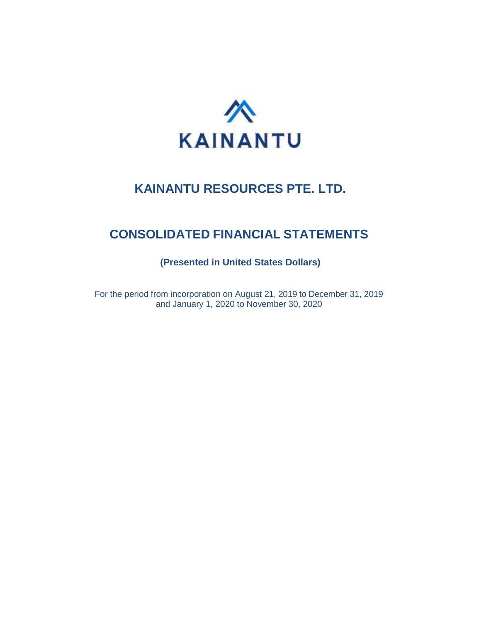

# **CONSOLIDATED FINANCIAL STATEMENTS**

**(Presented in United States Dollars)**

For the period from incorporation on August 21, 2019 to December 31, 2019 and January 1, 2020 to November 30, 2020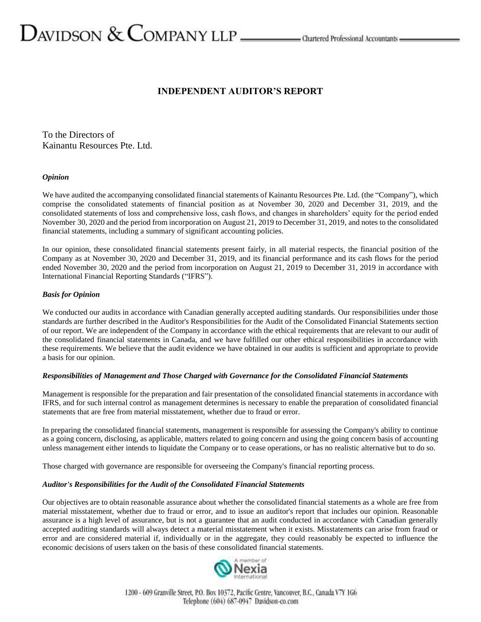# $D$ AVIDSON  $\&$  COMPANY LLP  $\_\_\_\_\$ Chartered Professional Accountants  $\_\_\$

# **INDEPENDENT AUDITOR'S REPORT**

To the Directors of Kainantu Resources Pte. Ltd.

#### *Opinion*

We have audited the accompanying consolidated financial statements of Kainantu Resources Pte. Ltd. (the "Company"), which comprise the consolidated statements of financial position as at November 30, 2020 and December 31, 2019, and the consolidated statements of loss and comprehensive loss, cash flows, and changes in shareholders' equity for the period ended November 30, 2020 and the period from incorporation on August 21, 2019 to December 31, 2019, and notes to the consolidated financial statements, including a summary of significant accounting policies.

In our opinion, these consolidated financial statements present fairly, in all material respects, the financial position of the Company as at November 30, 2020 and December 31, 2019, and its financial performance and its cash flows for the period ended November 30, 2020 and the period from incorporation on August 21, 2019 to December 31, 2019 in accordance with International Financial Reporting Standards ("IFRS").

#### *Basis for Opinion*

We conducted our audits in accordance with Canadian generally accepted auditing standards. Our responsibilities under those standards are further described in the Auditor's Responsibilities for the Audit of the Consolidated Financial Statements section of our report. We are independent of the Company in accordance with the ethical requirements that are relevant to our audit of the consolidated financial statements in Canada, and we have fulfilled our other ethical responsibilities in accordance with these requirements. We believe that the audit evidence we have obtained in our audits is sufficient and appropriate to provide a basis for our opinion.

#### *Responsibilities of Management and Those Charged with Governance for the Consolidated Financial Statements*

Management is responsible for the preparation and fair presentation of the consolidated financial statements in accordance with IFRS, and for such internal control as management determines is necessary to enable the preparation of consolidated financial statements that are free from material misstatement, whether due to fraud or error.

In preparing the consolidated financial statements, management is responsible for assessing the Company's ability to continue as a going concern, disclosing, as applicable, matters related to going concern and using the going concern basis of accounting unless management either intends to liquidate the Company or to cease operations, or has no realistic alternative but to do so.

Those charged with governance are responsible for overseeing the Company's financial reporting process.

#### *Auditor's Responsibilities for the Audit of the Consolidated Financial Statements*

Our objectives are to obtain reasonable assurance about whether the consolidated financial statements as a whole are free from material misstatement, whether due to fraud or error, and to issue an auditor's report that includes our opinion. Reasonable assurance is a high level of assurance, but is not a guarantee that an audit conducted in accordance with Canadian generally accepted auditing standards will always detect a material misstatement when it exists. Misstatements can arise from fraud or error and are considered material if, individually or in the aggregate, they could reasonably be expected to influence the economic decisions of users taken on the basis of these consolidated financial statements.

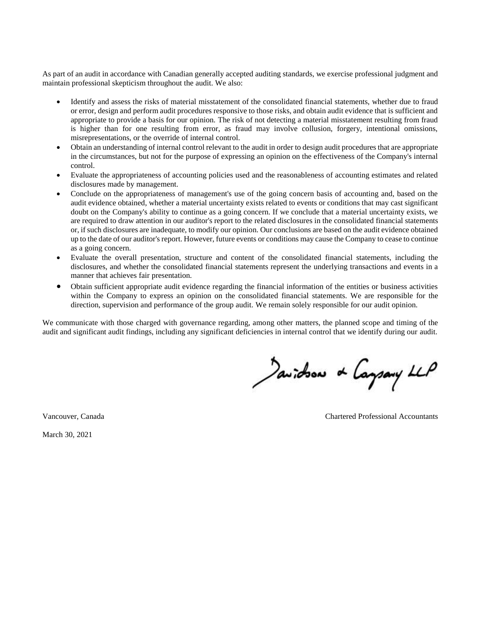As part of an audit in accordance with Canadian generally accepted auditing standards, we exercise professional judgment and maintain professional skepticism throughout the audit. We also:

- Identify and assess the risks of material misstatement of the consolidated financial statements, whether due to fraud or error, design and perform audit procedures responsive to those risks, and obtain audit evidence that is sufficient and appropriate to provide a basis for our opinion. The risk of not detecting a material misstatement resulting from fraud is higher than for one resulting from error, as fraud may involve collusion, forgery, intentional omissions, misrepresentations, or the override of internal control.
- Obtain an understanding of internal control relevant to the audit in order to design audit procedures that are appropriate in the circumstances, but not for the purpose of expressing an opinion on the effectiveness of the Company's internal control.
- Evaluate the appropriateness of accounting policies used and the reasonableness of accounting estimates and related disclosures made by management.
- Conclude on the appropriateness of management's use of the going concern basis of accounting and, based on the audit evidence obtained, whether a material uncertainty exists related to events or conditions that may cast significant doubt on the Company's ability to continue as a going concern. If we conclude that a material uncertainty exists, we are required to draw attention in our auditor's report to the related disclosures in the consolidated financial statements or, if such disclosures are inadequate, to modify our opinion. Our conclusions are based on the audit evidence obtained up to the date of our auditor's report. However, future events or conditions may cause the Company to cease to continue as a going concern.
- Evaluate the overall presentation, structure and content of the consolidated financial statements, including the disclosures, and whether the consolidated financial statements represent the underlying transactions and events in a manner that achieves fair presentation.
- Obtain sufficient appropriate audit evidence regarding the financial information of the entities or business activities within the Company to express an opinion on the consolidated financial statements. We are responsible for the direction, supervision and performance of the group audit. We remain solely responsible for our audit opinion.

We communicate with those charged with governance regarding, among other matters, the planned scope and timing of the audit and significant audit findings, including any significant deficiencies in internal control that we identify during our audit.

Javidson & Caysary LLP

Vancouver, Canada Chartered Professional Accountants

March 30, 2021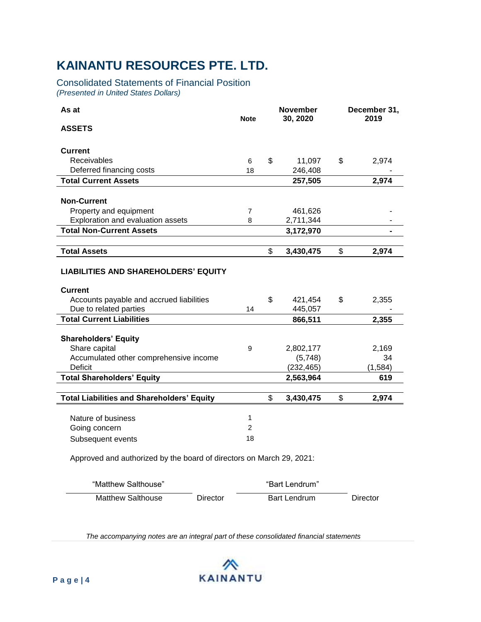# Consolidated Statements of Financial Position *(Presented in United States Dollars)*

| As at                                                                                                                               | <b>Note</b>               | <b>November</b><br>30, 2020 |                      | December 31,<br>2019 |
|-------------------------------------------------------------------------------------------------------------------------------------|---------------------------|-----------------------------|----------------------|----------------------|
| <b>ASSETS</b>                                                                                                                       |                           |                             |                      |                      |
| <b>Current</b>                                                                                                                      |                           |                             |                      |                      |
| Receivables                                                                                                                         | 6                         | \$                          | 11,097               | \$<br>2,974          |
| Deferred financing costs                                                                                                            | 18                        |                             | 246,408              |                      |
| <b>Total Current Assets</b>                                                                                                         |                           |                             | 257,505              | 2,974                |
|                                                                                                                                     |                           |                             |                      |                      |
| <b>Non-Current</b>                                                                                                                  |                           |                             |                      |                      |
| Property and equipment                                                                                                              | $\overline{7}$            |                             | 461,626              |                      |
| Exploration and evaluation assets                                                                                                   | 8                         |                             | 2,711,344            |                      |
| <b>Total Non-Current Assets</b>                                                                                                     |                           |                             | 3,172,970            |                      |
|                                                                                                                                     |                           |                             |                      |                      |
| <b>Total Assets</b>                                                                                                                 |                           | \$                          | 3,430,475            | \$<br>2,974          |
| <b>LIABILITIES AND SHAREHOLDERS' EQUITY</b><br><b>Current</b><br>Accounts payable and accrued liabilities<br>Due to related parties | 14                        | \$                          | 421,454<br>445,057   | \$<br>2,355          |
| <b>Total Current Liabilities</b>                                                                                                    |                           |                             | 866,511              | 2,355                |
| <b>Shareholders' Equity</b><br>Share capital<br>Accumulated other comprehensive income                                              | 9                         |                             | 2,802,177<br>(5,748) | 2,169<br>34          |
| <b>Deficit</b>                                                                                                                      |                           |                             | (232, 465)           | (1, 584)             |
| <b>Total Shareholders' Equity</b>                                                                                                   |                           |                             | 2,563,964            | 619                  |
| <b>Total Liabilities and Shareholders' Equity</b>                                                                                   |                           | \$                          | 3,430,475            | \$<br>2,974          |
| Nature of business<br>Going concern<br>Subsequent events                                                                            | 1<br>$\overline{2}$<br>18 |                             |                      |                      |
| Approved and authorized by the board of directors on March 29, 2021:                                                                |                           |                             |                      |                      |

| "Matthew Salthouse" |          | "Bart Lendrum"      |          |
|---------------------|----------|---------------------|----------|
| Matthew Salthouse   | Director | <b>Bart Lendrum</b> | Director |

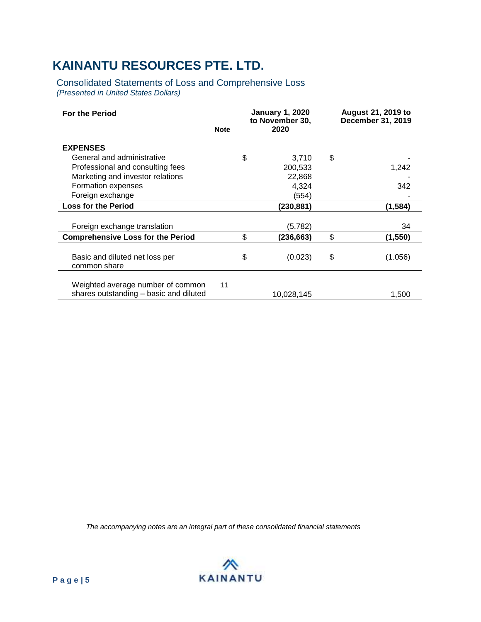Consolidated Statements of Loss and Comprehensive Loss *(Presented in United States Dollars)*

| <b>For the Period</b>                          | <b>Note</b> | <b>January 1, 2020</b><br>to November 30,<br>2020 |            | <b>August 21, 2019 to</b><br>December 31, 2019 |
|------------------------------------------------|-------------|---------------------------------------------------|------------|------------------------------------------------|
| <b>EXPENSES</b>                                |             |                                                   |            |                                                |
| General and administrative                     |             | \$                                                | 3,710      | \$                                             |
| Professional and consulting fees               |             |                                                   | 200,533    | 1,242                                          |
| Marketing and investor relations               |             |                                                   | 22,868     |                                                |
| Formation expenses                             |             |                                                   | 4,324      | 342                                            |
| Foreign exchange                               |             |                                                   | (554)      |                                                |
| <b>Loss for the Period</b>                     |             |                                                   | (230, 881) | (1, 584)                                       |
|                                                |             |                                                   |            |                                                |
| Foreign exchange translation                   |             |                                                   | (5,782)    | 34                                             |
| <b>Comprehensive Loss for the Period</b>       |             | \$                                                | (236, 663) | \$<br>(1, 550)                                 |
|                                                |             |                                                   |            |                                                |
| Basic and diluted net loss per<br>common share |             | \$                                                | (0.023)    | \$<br>(1.056)                                  |
|                                                |             |                                                   |            |                                                |
| Weighted average number of common              | 11          |                                                   |            |                                                |
| shares outstanding - basic and diluted         |             |                                                   | 10,028,145 | 1,500                                          |

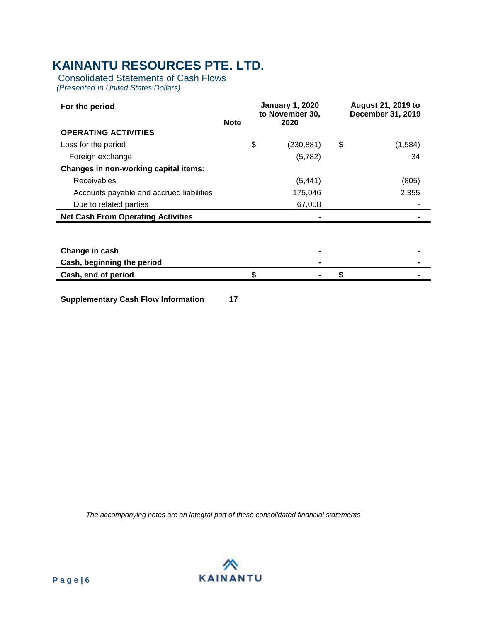Consolidated Statements of Cash Flows *(Presented in United States Dollars)*

|             |                  | <b>August 21, 2019 to</b><br><b>December 31, 2019</b> |         |
|-------------|------------------|-------------------------------------------------------|---------|
| <b>Note</b> | 2020             |                                                       |         |
|             |                  |                                                       |         |
|             | \$<br>(230, 881) | \$                                                    | (1,584) |
|             | (5,782)          |                                                       | 34      |
|             |                  |                                                       |         |
|             | (5, 441)         |                                                       | (805)   |
|             | 175,046          |                                                       | 2,355   |
|             | 67,058           |                                                       |         |
|             |                  |                                                       |         |
|             |                  |                                                       |         |
|             |                  |                                                       |         |
|             |                  |                                                       |         |
|             |                  |                                                       |         |
|             |                  | \$                                                    |         |
|             |                  | <b>January 1, 2020</b><br>to November 30,             |         |

**Supplementary Cash Flow Information 17**

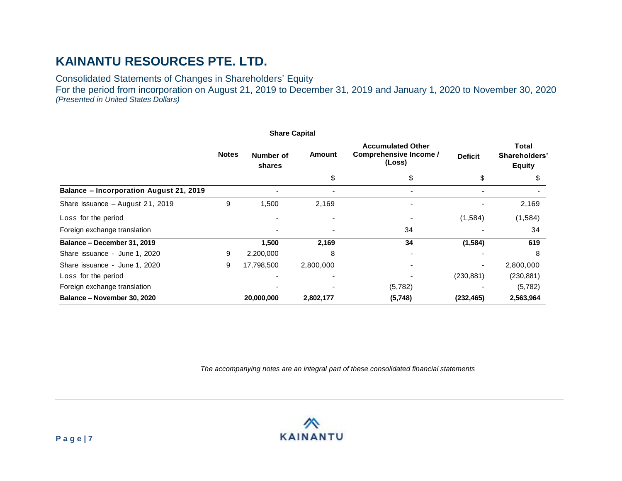Consolidated Statements of Changes in Shareholders' Equity

For the period from incorporation on August 21, 2019 to December 31, 2019 and January 1, 2020 to November 30, 2020 *(Presented in United States Dollars)*

|                                                |              | <b>Share Capital</b> |           |                                                                     |                |                                                |  |
|------------------------------------------------|--------------|----------------------|-----------|---------------------------------------------------------------------|----------------|------------------------------------------------|--|
|                                                | <b>Notes</b> | Number of<br>shares  | Amount    | <b>Accumulated Other</b><br><b>Comprehensive Income /</b><br>(Loss) | <b>Deficit</b> | <b>Total</b><br>Shareholders'<br><b>Equity</b> |  |
|                                                |              |                      | \$        | \$                                                                  | \$             | S                                              |  |
| <b>Balance - Incorporation August 21, 2019</b> |              |                      |           |                                                                     |                |                                                |  |
| Share issuance - August 21, 2019               | 9            | 1,500                | 2,169     |                                                                     |                | 2,169                                          |  |
| Loss for the period                            |              |                      |           |                                                                     | (1,584)        | (1, 584)                                       |  |
| Foreign exchange translation                   |              |                      |           | 34                                                                  |                | 34                                             |  |
| Balance - December 31, 2019                    |              | 1,500                | 2,169     | 34                                                                  | (1, 584)       | 619                                            |  |
| Share issuance - June 1, 2020                  | 9            | 2,200,000            | 8         |                                                                     |                | 8                                              |  |
| Share issuance - June 1, 2020                  | 9            | 17,798,500           | 2,800,000 |                                                                     |                | 2,800,000                                      |  |
| Loss for the period                            |              |                      |           |                                                                     | (230, 881)     | (230, 881)                                     |  |
| Foreign exchange translation                   |              |                      |           | (5,782)                                                             |                | (5,782)                                        |  |
| Balance - November 30, 2020                    |              | 20,000,000           | 2,802,177 | (5,748)                                                             | (232, 465)     | 2,563,964                                      |  |

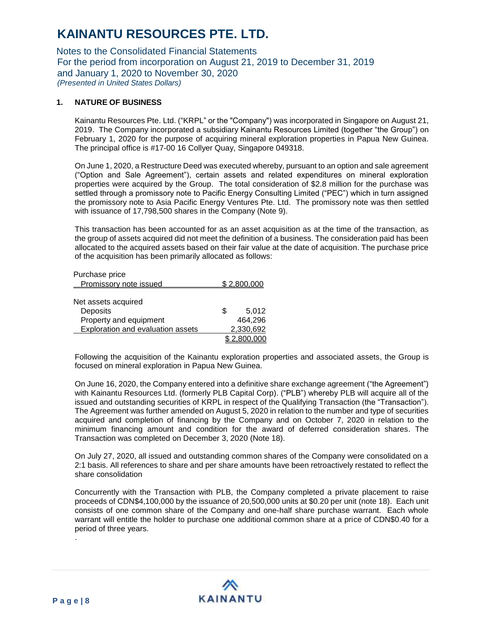Notes to the Consolidated Financial Statements For the period from incorporation on August 21, 2019 to December 31, 2019 and January 1, 2020 to November 30, 2020 *(Presented in United States Dollars)*

#### **1. NATURE OF BUSINESS**

Kainantu Resources Pte. Ltd. ("KRPL" or the "Company") was incorporated in Singapore on August 21, 2019. The Company incorporated a subsidiary Kainantu Resources Limited (together "the Group") on February 1, 2020 for the purpose of acquiring mineral exploration properties in Papua New Guinea. The principal office is #17-00 16 Collyer Quay, Singapore 049318.

On June 1, 2020, a Restructure Deed was executed whereby, pursuant to an option and sale agreement ("Option and Sale Agreement"), certain assets and related expenditures on mineral exploration properties were acquired by the Group. The total consideration of \$2.8 million for the purchase was settled through a promissory note to Pacific Energy Consulting Limited ("PEC") which in turn assigned the promissory note to Asia Pacific Energy Ventures Pte. Ltd. The promissory note was then settled with issuance of 17,798,500 shares in the Company (Note 9).

This transaction has been accounted for as an asset acquisition as at the time of the transaction, as the group of assets acquired did not meet the definition of a business. The consideration paid has been allocated to the acquired assets based on their fair value at the date of acquisition. The purchase price of the acquisition has been primarily allocated as follows:

| Purchase price                    |   |             |
|-----------------------------------|---|-------------|
| Promissory note issued            |   | \$2.800,000 |
|                                   |   |             |
| Net assets acquired               |   |             |
| Deposits                          | S | 5,012       |
| Property and equipment            |   | 464,296     |
| Exploration and evaluation assets |   | 2,330,692   |
|                                   |   | \$2.800.000 |

Following the acquisition of the Kainantu exploration properties and associated assets, the Group is focused on mineral exploration in Papua New Guinea.

On June 16, 2020, the Company entered into a definitive share exchange agreement ("the Agreement") with Kainantu Resources Ltd. (formerly PLB Capital Corp). ("PLB") whereby PLB will acquire all of the issued and outstanding securities of KRPL in respect of the Qualifying Transaction (the "Transaction"). The Agreement was further amended on August 5, 2020 in relation to the number and type of securities acquired and completion of financing by the Company and on October 7, 2020 in relation to the minimum financing amount and condition for the award of deferred consideration shares. The Transaction was completed on December 3, 2020 (Note 18).

On July 27, 2020, all issued and outstanding common shares of the Company were consolidated on a 2:1 basis. All references to share and per share amounts have been retroactively restated to reflect the share consolidation

Concurrently with the Transaction with PLB, the Company completed a private placement to raise proceeds of CDN\$4,100,000 by the issuance of 20,500,000 units at \$0.20 per unit (note 18). Each unit consists of one common share of the Company and one-half share purchase warrant. Each whole warrant will entitle the holder to purchase one additional common share at a price of CDN\$0.40 for a period of three years.

.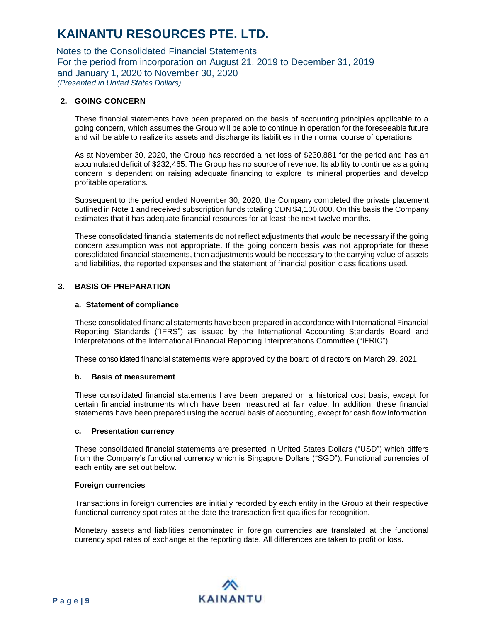Notes to the Consolidated Financial Statements For the period from incorporation on August 21, 2019 to December 31, 2019 and January 1, 2020 to November 30, 2020 *(Presented in United States Dollars)*

### **2. GOING CONCERN**

These financial statements have been prepared on the basis of accounting principles applicable to a going concern, which assumes the Group will be able to continue in operation for the foreseeable future and will be able to realize its assets and discharge its liabilities in the normal course of operations.

As at November 30, 2020, the Group has recorded a net loss of \$230,881 for the period and has an accumulated deficit of \$232,465. The Group has no source of revenue. Its ability to continue as a going concern is dependent on raising adequate financing to explore its mineral properties and develop profitable operations.

Subsequent to the period ended November 30, 2020, the Company completed the private placement outlined in Note 1 and received subscription funds totaling CDN \$4,100,000. On this basis the Company estimates that it has adequate financial resources for at least the next twelve months.

These consolidated financial statements do not reflect adjustments that would be necessary if the going concern assumption was not appropriate. If the going concern basis was not appropriate for these consolidated financial statements, then adjustments would be necessary to the carrying value of assets and liabilities, the reported expenses and the statement of financial position classifications used.

### **3. BASIS OF PREPARATION**

#### **a. Statement of compliance**

These consolidated financial statements have been prepared in accordance with International Financial Reporting Standards ("IFRS") as issued by the International Accounting Standards Board and Interpretations of the International Financial Reporting Interpretations Committee ("IFRIC").

These consolidated financial statements were approved by the board of directors on March 29, 2021.

#### **b. Basis of measurement**

These consolidated financial statements have been prepared on a historical cost basis, except for certain financial instruments which have been measured at fair value. In addition, these financial statements have been prepared using the accrual basis of accounting, except for cash flow information.

#### **c. Presentation currency**

These consolidated financial statements are presented in United States Dollars ("USD") which differs from the Company's functional currency which is Singapore Dollars ("SGD"). Functional currencies of each entity are set out below.

#### **Foreign currencies**

Transactions in foreign currencies are initially recorded by each entity in the Group at their respective functional currency spot rates at the date the transaction first qualifies for recognition.

Monetary assets and liabilities denominated in foreign currencies are translated at the functional currency spot rates of exchange at the reporting date. All differences are taken to profit or loss.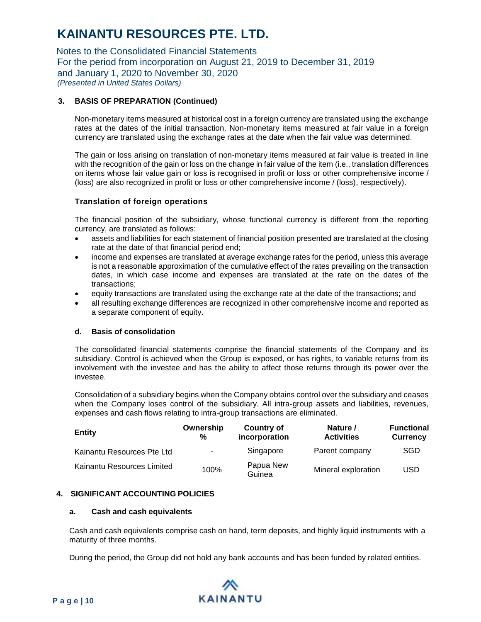Notes to the Consolidated Financial Statements For the period from incorporation on August 21, 2019 to December 31, 2019 and January 1, 2020 to November 30, 2020 *(Presented in United States Dollars)*

# **3. BASIS OF PREPARATION (Continued)**

Non-monetary items measured at historical cost in a foreign currency are translated using the exchange rates at the dates of the initial transaction. Non-monetary items measured at fair value in a foreign currency are translated using the exchange rates at the date when the fair value was determined.

The gain or loss arising on translation of non-monetary items measured at fair value is treated in line with the recognition of the gain or loss on the change in fair value of the item (i.e., translation differences on items whose fair value gain or loss is recognised in profit or loss or other comprehensive income / (loss) are also recognized in profit or loss or other comprehensive income / (loss), respectively).

### **Translation of foreign operations**

The financial position of the subsidiary, whose functional currency is different from the reporting currency, are translated as follows:

- assets and liabilities for each statement of financial position presented are translated at the closing rate at the date of that financial period end;
- income and expenses are translated at average exchange rates for the period, unless this average is not a reasonable approximation of the cumulative effect of the rates prevailing on the transaction dates, in which case income and expenses are translated at the rate on the dates of the transactions;
- equity transactions are translated using the exchange rate at the date of the transactions; and
- all resulting exchange differences are recognized in other comprehensive income and reported as a separate component of equity.

#### **d. Basis of consolidation**

The consolidated financial statements comprise the financial statements of the Company and its subsidiary. Control is achieved when the Group is exposed, or has rights, to variable returns from its involvement with the investee and has the ability to affect those returns through its power over the investee.

Consolidation of a subsidiary begins when the Company obtains control over the subsidiary and ceases when the Company loses control of the subsidiary. All intra-group assets and liabilities, revenues, expenses and cash flows relating to intra-group transactions are eliminated.

| <b>Entity</b>              | Ownership<br>% | <b>Country of</b><br>incorporation | Nature /<br><b>Activities</b> | Functional<br><b>Currency</b> |
|----------------------------|----------------|------------------------------------|-------------------------------|-------------------------------|
| Kainantu Resources Pte Ltd | ۰.             | Singapore                          | Parent company                | <b>SGD</b>                    |
| Kainantu Resources Limited | 100%           | Papua New<br>Guinea                | Mineral exploration           | USD                           |

#### **4. SIGNIFICANT ACCOUNTING POLICIES**

#### **a. Cash and cash equivalents**

Cash and cash equivalents comprise cash on hand, term deposits, and highly liquid instruments with a maturity of three months.

During the period, the Group did not hold any bank accounts and has been funded by related entities.

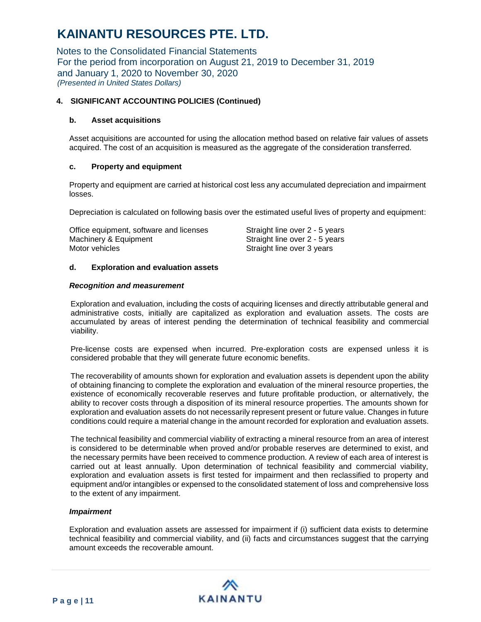Notes to the Consolidated Financial Statements For the period from incorporation on August 21, 2019 to December 31, 2019 and January 1, 2020 to November 30, 2020 *(Presented in United States Dollars)*

### **4. SIGNIFICANT ACCOUNTING POLICIES (Continued)**

### **b. Asset acquisitions**

Asset acquisitions are accounted for using the allocation method based on relative fair values of assets acquired. The cost of an acquisition is measured as the aggregate of the consideration transferred.

# **c. Property and equipment**

Property and equipment are carried at historical cost less any accumulated depreciation and impairment losses.

Depreciation is calculated on following basis over the estimated useful lives of property and equipment:

| Office equipment, software and licenses | Straight line over 2 - 5 years |
|-----------------------------------------|--------------------------------|
| Machinery & Equipment                   | Straight line over 2 - 5 years |
| Motor vehicles                          | Straight line over 3 years     |

# **d. Exploration and evaluation assets**

#### *Recognition and measurement*

Exploration and evaluation, including the costs of acquiring licenses and directly attributable general and administrative costs, initially are capitalized as exploration and evaluation assets. The costs are accumulated by areas of interest pending the determination of technical feasibility and commercial viability.

Pre-license costs are expensed when incurred. Pre-exploration costs are expensed unless it is considered probable that they will generate future economic benefits.

The recoverability of amounts shown for exploration and evaluation assets is dependent upon the ability of obtaining financing to complete the exploration and evaluation of the mineral resource properties, the existence of economically recoverable reserves and future profitable production, or alternatively, the ability to recover costs through a disposition of its mineral resource properties. The amounts shown for exploration and evaluation assets do not necessarily represent present or future value. Changes in future conditions could require a material change in the amount recorded for exploration and evaluation assets.

The technical feasibility and commercial viability of extracting a mineral resource from an area of interest is considered to be determinable when proved and/or probable reserves are determined to exist, and the necessary permits have been received to commence production. A review of each area of interest is carried out at least annually. Upon determination of technical feasibility and commercial viability, exploration and evaluation assets is first tested for impairment and then reclassified to property and equipment and/or intangibles or expensed to the consolidated statement of loss and comprehensive loss to the extent of any impairment.

### *Impairment*

Exploration and evaluation assets are assessed for impairment if (i) sufficient data exists to determine technical feasibility and commercial viability, and (ii) facts and circumstances suggest that the carrying amount exceeds the recoverable amount.

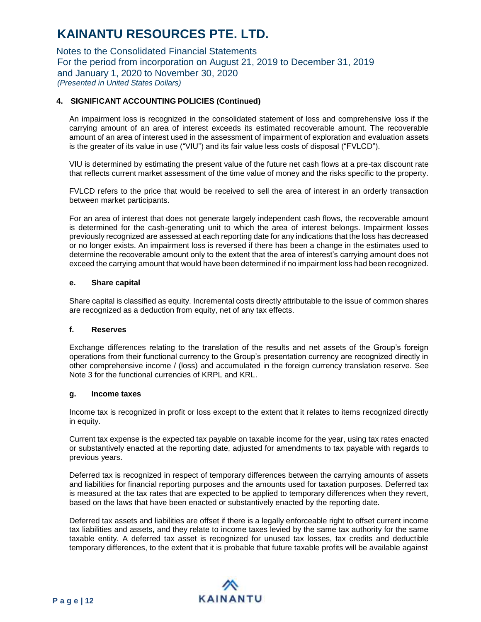Notes to the Consolidated Financial Statements For the period from incorporation on August 21, 2019 to December 31, 2019 and January 1, 2020 to November 30, 2020 *(Presented in United States Dollars)*

# **4. SIGNIFICANT ACCOUNTING POLICIES (Continued)**

An impairment loss is recognized in the consolidated statement of loss and comprehensive loss if the carrying amount of an area of interest exceeds its estimated recoverable amount. The recoverable amount of an area of interest used in the assessment of impairment of exploration and evaluation assets is the greater of its value in use ("VIU") and its fair value less costs of disposal ("FVLCD").

VIU is determined by estimating the present value of the future net cash flows at a pre-tax discount rate that reflects current market assessment of the time value of money and the risks specific to the property.

FVLCD refers to the price that would be received to sell the area of interest in an orderly transaction between market participants.

For an area of interest that does not generate largely independent cash flows, the recoverable amount is determined for the cash-generating unit to which the area of interest belongs. Impairment losses previously recognized are assessed at each reporting date for any indications that the loss has decreased or no longer exists. An impairment loss is reversed if there has been a change in the estimates used to determine the recoverable amount only to the extent that the area of interest's carrying amount does not exceed the carrying amount that would have been determined if no impairment loss had been recognized.

#### **e. Share capital**

Share capital is classified as equity. Incremental costs directly attributable to the issue of common shares are recognized as a deduction from equity, net of any tax effects.

#### **f. Reserves**

Exchange differences relating to the translation of the results and net assets of the Group's foreign operations from their functional currency to the Group's presentation currency are recognized directly in other comprehensive income / (loss) and accumulated in the foreign currency translation reserve. See Note 3 for the functional currencies of KRPL and KRL.

#### **g. Income taxes**

Income tax is recognized in profit or loss except to the extent that it relates to items recognized directly in equity.

Current tax expense is the expected tax payable on taxable income for the year, using tax rates enacted or substantively enacted at the reporting date, adjusted for amendments to tax payable with regards to previous years.

Deferred tax is recognized in respect of temporary differences between the carrying amounts of assets and liabilities for financial reporting purposes and the amounts used for taxation purposes. Deferred tax is measured at the tax rates that are expected to be applied to temporary differences when they revert, based on the laws that have been enacted or substantively enacted by the reporting date.

Deferred tax assets and liabilities are offset if there is a legally enforceable right to offset current income tax liabilities and assets, and they relate to income taxes levied by the same tax authority for the same taxable entity. A deferred tax asset is recognized for unused tax losses, tax credits and deductible temporary differences, to the extent that it is probable that future taxable profits will be available against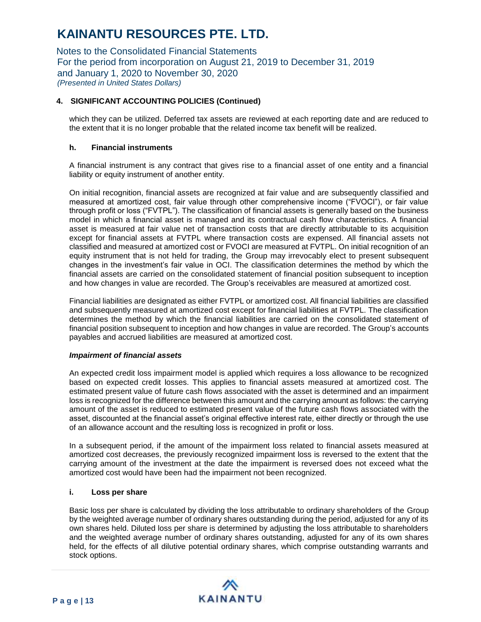Notes to the Consolidated Financial Statements For the period from incorporation on August 21, 2019 to December 31, 2019 and January 1, 2020 to November 30, 2020 *(Presented in United States Dollars)*

# **4. SIGNIFICANT ACCOUNTING POLICIES (Continued)**

which they can be utilized. Deferred tax assets are reviewed at each reporting date and are reduced to the extent that it is no longer probable that the related income tax benefit will be realized.

### **h. Financial instruments**

A financial instrument is any contract that gives rise to a financial asset of one entity and a financial liability or equity instrument of another entity.

On initial recognition, financial assets are recognized at fair value and are subsequently classified and measured at amortized cost, fair value through other comprehensive income ("FVOCI"), or fair value through profit or loss ("FVTPL"). The classification of financial assets is generally based on the business model in which a financial asset is managed and its contractual cash flow characteristics. A financial asset is measured at fair value net of transaction costs that are directly attributable to its acquisition except for financial assets at FVTPL where transaction costs are expensed. All financial assets not classified and measured at amortized cost or FVOCI are measured at FVTPL. On initial recognition of an equity instrument that is not held for trading, the Group may irrevocably elect to present subsequent changes in the investment's fair value in OCI. The classification determines the method by which the financial assets are carried on the consolidated statement of financial position subsequent to inception and how changes in value are recorded. The Group's receivables are measured at amortized cost.

Financial liabilities are designated as either FVTPL or amortized cost. All financial liabilities are classified and subsequently measured at amortized cost except for financial liabilities at FVTPL. The classification determines the method by which the financial liabilities are carried on the consolidated statement of financial position subsequent to inception and how changes in value are recorded. The Group's accounts payables and accrued liabilities are measured at amortized cost.

#### *Impairment of financial assets*

An expected credit loss impairment model is applied which requires a loss allowance to be recognized based on expected credit losses. This applies to financial assets measured at amortized cost. The estimated present value of future cash flows associated with the asset is determined and an impairment loss is recognized for the difference between this amount and the carrying amount as follows: the carrying amount of the asset is reduced to estimated present value of the future cash flows associated with the asset, discounted at the financial asset's original effective interest rate, either directly or through the use of an allowance account and the resulting loss is recognized in profit or loss.

In a subsequent period, if the amount of the impairment loss related to financial assets measured at amortized cost decreases, the previously recognized impairment loss is reversed to the extent that the carrying amount of the investment at the date the impairment is reversed does not exceed what the amortized cost would have been had the impairment not been recognized.

#### **i. Loss per share**

Basic loss per share is calculated by dividing the loss attributable to ordinary shareholders of the Group by the weighted average number of ordinary shares outstanding during the period, adjusted for any of its own shares held. Diluted loss per share is determined by adjusting the loss attributable to shareholders and the weighted average number of ordinary shares outstanding, adjusted for any of its own shares held, for the effects of all dilutive potential ordinary shares, which comprise outstanding warrants and stock options.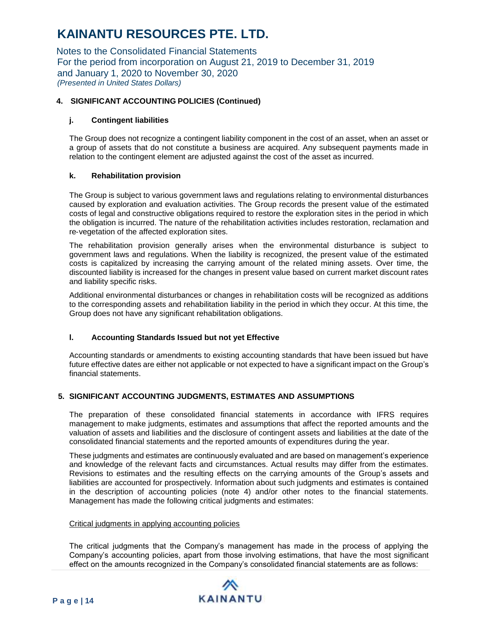Notes to the Consolidated Financial Statements For the period from incorporation on August 21, 2019 to December 31, 2019 and January 1, 2020 to November 30, 2020 *(Presented in United States Dollars)*

# **4. SIGNIFICANT ACCOUNTING POLICIES (Continued)**

### **j. Contingent liabilities**

The Group does not recognize a contingent liability component in the cost of an asset, when an asset or a group of assets that do not constitute a business are acquired. Any subsequent payments made in relation to the contingent element are adjusted against the cost of the asset as incurred.

### **k. Rehabilitation provision**

The Group is subject to various government laws and regulations relating to environmental disturbances caused by exploration and evaluation activities. The Group records the present value of the estimated costs of legal and constructive obligations required to restore the exploration sites in the period in which the obligation is incurred. The nature of the rehabilitation activities includes restoration, reclamation and re‐vegetation of the affected exploration sites.

The rehabilitation provision generally arises when the environmental disturbance is subject to government laws and regulations. When the liability is recognized, the present value of the estimated costs is capitalized by increasing the carrying amount of the related mining assets. Over time, the discounted liability is increased for the changes in present value based on current market discount rates and liability specific risks.

Additional environmental disturbances or changes in rehabilitation costs will be recognized as additions to the corresponding assets and rehabilitation liability in the period in which they occur. At this time, the Group does not have any significant rehabilitation obligations.

### **l. Accounting Standards Issued but not yet Effective**

Accounting standards or amendments to existing accounting standards that have been issued but have future effective dates are either not applicable or not expected to have a significant impact on the Group's financial statements.

### **5. SIGNIFICANT ACCOUNTING JUDGMENTS, ESTIMATES AND ASSUMPTIONS**

The preparation of these consolidated financial statements in accordance with IFRS requires management to make judgments, estimates and assumptions that affect the reported amounts and the valuation of assets and liabilities and the disclosure of contingent assets and liabilities at the date of the consolidated financial statements and the reported amounts of expenditures during the year.

These judgments and estimates are continuously evaluated and are based on management's experience and knowledge of the relevant facts and circumstances. Actual results may differ from the estimates. Revisions to estimates and the resulting effects on the carrying amounts of the Group's assets and liabilities are accounted for prospectively. Information about such judgments and estimates is contained in the description of accounting policies (note 4) and/or other notes to the financial statements. Management has made the following critical judgments and estimates:

### Critical judgments in applying accounting policies

The critical judgments that the Company's management has made in the process of applying the Company's accounting policies, apart from those involving estimations, that have the most significant effect on the amounts recognized in the Company's consolidated financial statements are as follows:

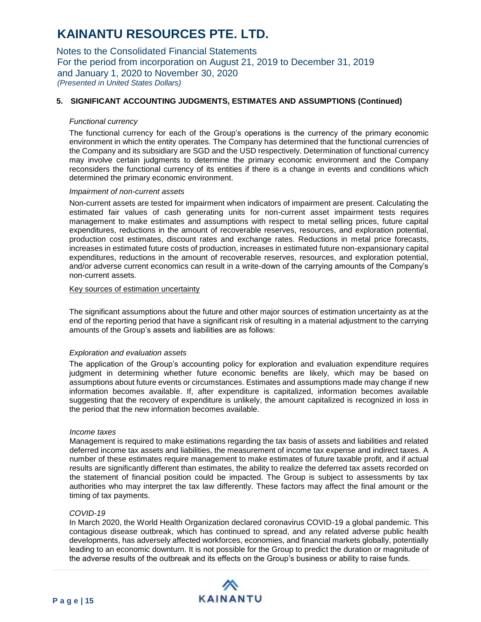Notes to the Consolidated Financial Statements For the period from incorporation on August 21, 2019 to December 31, 2019 and January 1, 2020 to November 30, 2020 *(Presented in United States Dollars)*

### **5. SIGNIFICANT ACCOUNTING JUDGMENTS, ESTIMATES AND ASSUMPTIONS (Continued)**

#### *Functional currency*

The functional currency for each of the Group's operations is the currency of the primary economic environment in which the entity operates. The Company has determined that the functional currencies of the Company and its subsidiary are SGD and the USD respectively. Determination of functional currency may involve certain judgments to determine the primary economic environment and the Company reconsiders the functional currency of its entities if there is a change in events and conditions which determined the primary economic environment.

#### *Impairment of non-current assets*

Non-current assets are tested for impairment when indicators of impairment are present. Calculating the estimated fair values of cash generating units for non-current asset impairment tests requires management to make estimates and assumptions with respect to metal selling prices, future capital expenditures, reductions in the amount of recoverable reserves, resources, and exploration potential, production cost estimates, discount rates and exchange rates. Reductions in metal price forecasts, increases in estimated future costs of production, increases in estimated future non-expansionary capital expenditures, reductions in the amount of recoverable reserves, resources, and exploration potential, and/or adverse current economics can result in a write-down of the carrying amounts of the Company's non-current assets.

#### Key sources of estimation uncertainty

The significant assumptions about the future and other major sources of estimation uncertainty as at the end of the reporting period that have a significant risk of resulting in a material adjustment to the carrying amounts of the Group's assets and liabilities are as follows:

#### *Exploration and evaluation assets*

The application of the Group's accounting policy for exploration and evaluation expenditure requires judgment in determining whether future economic benefits are likely, which may be based on assumptions about future events or circumstances. Estimates and assumptions made may change if new information becomes available. If, after expenditure is capitalized, information becomes available suggesting that the recovery of expenditure is unlikely, the amount capitalized is recognized in loss in the period that the new information becomes available.

#### *Income taxes*

Management is required to make estimations regarding the tax basis of assets and liabilities and related deferred income tax assets and liabilities, the measurement of income tax expense and indirect taxes. A number of these estimates require management to make estimates of future taxable profit, and if actual results are significantly different than estimates, the ability to realize the deferred tax assets recorded on the statement of financial position could be impacted. The Group is subject to assessments by tax authorities who may interpret the tax law differently. These factors may affect the final amount or the timing of tax payments.

#### *COVID-19*

In March 2020, the World Health Organization declared coronavirus COVID-19 a global pandemic. This contagious disease outbreak, which has continued to spread, and any related adverse public health developments, has adversely affected workforces, economies, and financial markets globally, potentially leading to an economic downturn. It is not possible for the Group to predict the duration or magnitude of the adverse results of the outbreak and its effects on the Group's business or ability to raise funds.

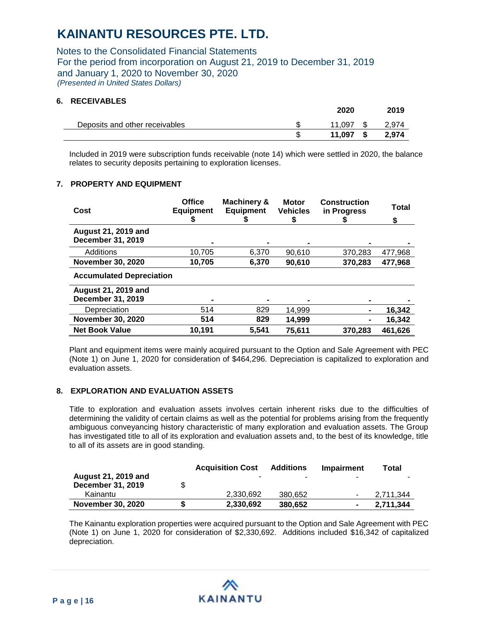Notes to the Consolidated Financial Statements For the period from incorporation on August 21, 2019 to December 31, 2019 and January 1, 2020 to November 30, 2020 *(Presented in United States Dollars)*

### **6. RECEIVABLES**

|                                | 2020   | 2019        |
|--------------------------------|--------|-------------|
| Deposits and other receivables | 11.097 | 2.974       |
|                                | 11.097 | \$<br>2,974 |

Included in 2019 were subscription funds receivable (note 14) which were settled in 2020, the balance relates to security deposits pertaining to exploration licenses.

### **7. PROPERTY AND EQUIPMENT**

| Cost                                                   | <b>Office</b><br><b>Equipment</b><br>P | Machinery &<br><b>Equipment</b> | <b>Motor</b><br><b>Vehicles</b><br>\$ | <b>Construction</b><br>in Progress | Total<br>\$ |
|--------------------------------------------------------|----------------------------------------|---------------------------------|---------------------------------------|------------------------------------|-------------|
| <b>August 21, 2019 and</b><br><b>December 31, 2019</b> | $\blacksquare$                         |                                 |                                       |                                    |             |
| Additions                                              | 10.705                                 | 6.370                           | 90.610                                | 370.283                            | 477,968     |
| <b>November 30, 2020</b>                               | 10,705                                 | 6,370                           | 90,610                                | 370,283                            | 477,968     |
| <b>Accumulated Depreciation</b>                        |                                        |                                 |                                       |                                    |             |
| August 21, 2019 and<br><b>December 31, 2019</b>        |                                        |                                 |                                       |                                    |             |
| Depreciation                                           | 514                                    | 829                             | 14.999                                |                                    | 16.342      |
| <b>November 30, 2020</b>                               | 514                                    | 829                             | 14,999                                |                                    | 16,342      |
| <b>Net Book Value</b>                                  | 10,191                                 | 5.541                           | 75,611                                | 370.283                            | 461.626     |

Plant and equipment items were mainly acquired pursuant to the Option and Sale Agreement with PEC (Note 1) on June 1, 2020 for consideration of \$464,296. Depreciation is capitalized to exploration and evaluation assets.

### **8. EXPLORATION AND EVALUATION ASSETS**

Title to exploration and evaluation assets involves certain inherent risks due to the difficulties of determining the validity of certain claims as well as the potential for problems arising from the frequently ambiguous conveyancing history characteristic of many exploration and evaluation assets. The Group has investigated title to all of its exploration and evaluation assets and, to the best of its knowledge, title to all of its assets are in good standing.

|                            |    | <b>Acquisition Cost</b> | <b>Additions</b> | Impairment | Total     |
|----------------------------|----|-------------------------|------------------|------------|-----------|
| <b>August 21, 2019 and</b> |    |                         |                  |            | $\sim$    |
| December 31, 2019          | \$ |                         |                  |            |           |
| Kainantu                   |    | 2.330.692               | 380.652          |            | 2.711.344 |
| <b>November 30, 2020</b>   | S  | 2.330.692               | 380.652          |            | 2,711,344 |

The Kainantu exploration properties were acquired pursuant to the Option and Sale Agreement with PEC (Note 1) on June 1, 2020 for consideration of \$2,330,692. Additions included \$16,342 of capitalized depreciation.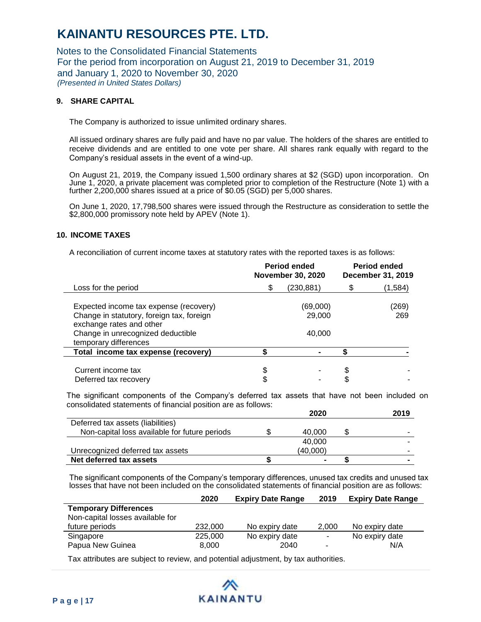Notes to the Consolidated Financial Statements For the period from incorporation on August 21, 2019 to December 31, 2019 and January 1, 2020 to November 30, 2020 *(Presented in United States Dollars)*

### **9. SHARE CAPITAL**

The Company is authorized to issue unlimited ordinary shares.

All issued ordinary shares are fully paid and have no par value. The holders of the shares are entitled to receive dividends and are entitled to one vote per share. All shares rank equally with regard to the Company's residual assets in the event of a wind-up.

On August 21, 2019, the Company issued 1,500 ordinary shares at \$2 (SGD) upon incorporation. On June 1, 2020, a private placement was completed prior to completion of the Restructure (Note 1) with a further 2,200,000 shares issued at a price of \$0.05 (SGD) per 5,000 shares.

On June 1, 2020, 17,798,500 shares were issued through the Restructure as consideration to settle the \$2,800,000 promissory note held by APEV (Note 1).

#### **10. INCOME TAXES**

A reconciliation of current income taxes at statutory rates with the reported taxes is as follows:

|                                                                                        |    | Period ended<br><b>November 30, 2020</b> | Period ended<br>December 31, 2019 |              |  |
|----------------------------------------------------------------------------------------|----|------------------------------------------|-----------------------------------|--------------|--|
| Loss for the period                                                                    | S  | (230, 881)                               |                                   | (1,584)      |  |
| Expected income tax expense (recovery)<br>Change in statutory, foreign tax, foreign    |    | (69,000)<br>29,000                       |                                   | (269)<br>269 |  |
| exchange rates and other<br>Change in unrecognized deductible<br>temporary differences |    | 40,000                                   |                                   |              |  |
| Total income tax expense (recovery)                                                    |    |                                          |                                   |              |  |
| Current income tax<br>Deferred tax recovery                                            | \$ |                                          | \$                                |              |  |

The significant components of the Company's deferred tax assets that have not been included on consolidated statements of financial position are as follows:

|                                               | 2020     | 2019 |
|-----------------------------------------------|----------|------|
| Deferred tax assets (liabilities)             |          |      |
| Non-capital loss available for future periods | 40.000   |      |
|                                               | 40.000   |      |
| Unrecognized deferred tax assets              | (40,000) | -    |
| Net deferred tax assets                       | -        |      |

The significant components of the Company's temporary differences, unused tax credits and unused tax losses that have not been included on the consolidated statements of financial position are as follows:

|                                  | 2020    | <b>Expiry Date Range</b> | 2019                     | <b>Expiry Date Range</b> |
|----------------------------------|---------|--------------------------|--------------------------|--------------------------|
| <b>Temporary Differences</b>     |         |                          |                          |                          |
| Non-capital losses available for |         |                          |                          |                          |
| future periods                   | 232,000 | No expiry date           | 2.000                    | No expiry date           |
| Singapore                        | 225,000 | No expiry date           | $\blacksquare$           | No expiry date           |
| Papua New Guinea                 | 8,000   | 2040                     | $\overline{\phantom{a}}$ | N/A                      |

Tax attributes are subject to review, and potential adjustment, by tax authorities.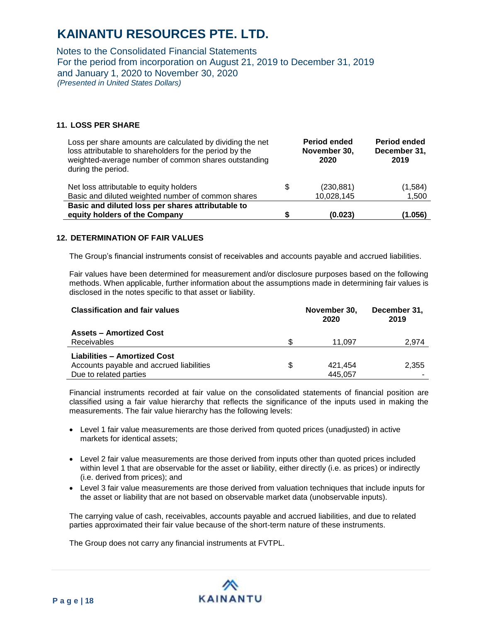Notes to the Consolidated Financial Statements For the period from incorporation on August 21, 2019 to December 31, 2019 and January 1, 2020 to November 30, 2020 *(Presented in United States Dollars)*

### **11. LOSS PER SHARE**

| Loss per share amounts are calculated by dividing the net<br>loss attributable to shareholders for the period by the<br>weighted-average number of common shares outstanding<br>during the period. | <b>Period ended</b><br>November 30,<br>2020 | <b>Period ended</b><br>December 31,<br>2019 |
|----------------------------------------------------------------------------------------------------------------------------------------------------------------------------------------------------|---------------------------------------------|---------------------------------------------|
| Net loss attributable to equity holders                                                                                                                                                            | \$<br>(230, 881)                            | (1,584)                                     |
| Basic and diluted weighted number of common shares                                                                                                                                                 | 10,028,145                                  | 1,500                                       |
| Basic and diluted loss per shares attributable to                                                                                                                                                  |                                             |                                             |
| equity holders of the Company                                                                                                                                                                      | (0.023)                                     | (1.056)                                     |

#### **12. DETERMINATION OF FAIR VALUES**

The Group's financial instruments consist of receivables and accounts payable and accrued liabilities.

Fair values have been determined for measurement and/or disclosure purposes based on the following methods. When applicable, further information about the assumptions made in determining fair values is disclosed in the notes specific to that asset or liability.

| <b>Classification and fair values</b>    | November 30,<br>2020 | December 31,<br>2019 |
|------------------------------------------|----------------------|----------------------|
| <b>Assets - Amortized Cost</b>           |                      |                      |
| <b>Receivables</b>                       | 11.097               | 2,974                |
| <b>Liabilities - Amortized Cost</b>      |                      |                      |
| Accounts payable and accrued liabilities | \$<br>421,454        | 2,355                |
| Due to related parties                   | 445,057              |                      |

Financial instruments recorded at fair value on the consolidated statements of financial position are classified using a fair value hierarchy that reflects the significance of the inputs used in making the measurements. The fair value hierarchy has the following levels:

- Level 1 fair value measurements are those derived from quoted prices (unadjusted) in active markets for identical assets;
- Level 2 fair value measurements are those derived from inputs other than quoted prices included within level 1 that are observable for the asset or liability, either directly (i.e. as prices) or indirectly (i.e. derived from prices); and
- Level 3 fair value measurements are those derived from valuation techniques that include inputs for the asset or liability that are not based on observable market data (unobservable inputs).

The carrying value of cash, receivables, accounts payable and accrued liabilities, and due to related parties approximated their fair value because of the short-term nature of these instruments.

The Group does not carry any financial instruments at FVTPL.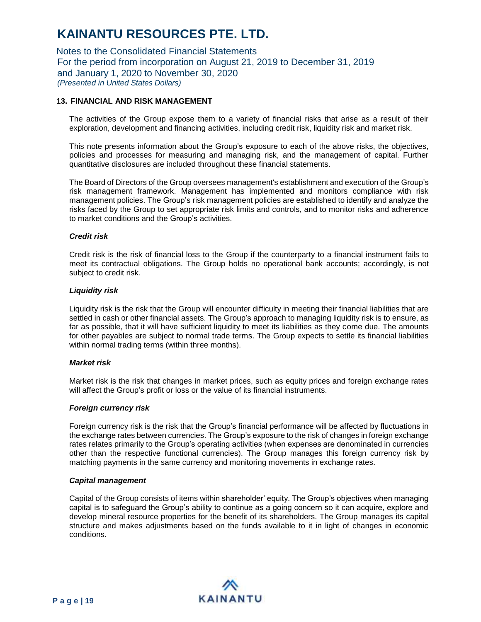Notes to the Consolidated Financial Statements For the period from incorporation on August 21, 2019 to December 31, 2019 and January 1, 2020 to November 30, 2020 *(Presented in United States Dollars)*

### **13. FINANCIAL AND RISK MANAGEMENT**

The activities of the Group expose them to a variety of financial risks that arise as a result of their exploration, development and financing activities, including credit risk, liquidity risk and market risk.

This note presents information about the Group's exposure to each of the above risks, the objectives, policies and processes for measuring and managing risk, and the management of capital. Further quantitative disclosures are included throughout these financial statements.

The Board of Directors of the Group oversees management's establishment and execution of the Group's risk management framework. Management has implemented and monitors compliance with risk management policies. The Group's risk management policies are established to identify and analyze the risks faced by the Group to set appropriate risk limits and controls, and to monitor risks and adherence to market conditions and the Group's activities.

#### *Credit risk*

Credit risk is the risk of financial loss to the Group if the counterparty to a financial instrument fails to meet its contractual obligations. The Group holds no operational bank accounts; accordingly, is not subject to credit risk.

#### *Liquidity risk*

Liquidity risk is the risk that the Group will encounter difficulty in meeting their financial liabilities that are settled in cash or other financial assets. The Group's approach to managing liquidity risk is to ensure, as far as possible, that it will have sufficient liquidity to meet its liabilities as they come due. The amounts for other payables are subject to normal trade terms. The Group expects to settle its financial liabilities within normal trading terms (within three months).

#### *Market risk*

Market risk is the risk that changes in market prices, such as equity prices and foreign exchange rates will affect the Group's profit or loss or the value of its financial instruments.

#### *Foreign currency risk*

Foreign currency risk is the risk that the Group's financial performance will be affected by fluctuations in the exchange rates between currencies. The Group's exposure to the risk of changes in foreign exchange rates relates primarily to the Group's operating activities (when expenses are denominated in currencies other than the respective functional currencies). The Group manages this foreign currency risk by matching payments in the same currency and monitoring movements in exchange rates.

#### *Capital management*

Capital of the Group consists of items within shareholder' equity. The Group's objectives when managing capital is to safeguard the Group's ability to continue as a going concern so it can acquire, explore and develop mineral resource properties for the benefit of its shareholders. The Group manages its capital structure and makes adjustments based on the funds available to it in light of changes in economic conditions.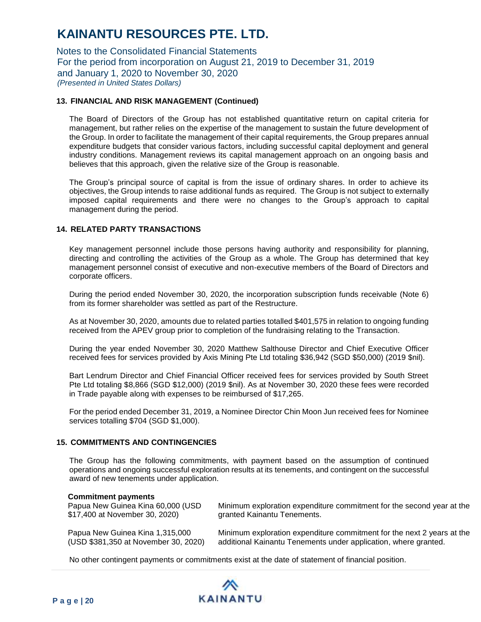Notes to the Consolidated Financial Statements For the period from incorporation on August 21, 2019 to December 31, 2019 and January 1, 2020 to November 30, 2020 *(Presented in United States Dollars)*

### **13. FINANCIAL AND RISK MANAGEMENT (Continued)**

The Board of Directors of the Group has not established quantitative return on capital criteria for management, but rather relies on the expertise of the management to sustain the future development of the Group. In order to facilitate the management of their capital requirements, the Group prepares annual expenditure budgets that consider various factors, including successful capital deployment and general industry conditions. Management reviews its capital management approach on an ongoing basis and believes that this approach, given the relative size of the Group is reasonable.

The Group's principal source of capital is from the issue of ordinary shares. In order to achieve its objectives, the Group intends to raise additional funds as required. The Group is not subject to externally imposed capital requirements and there were no changes to the Group's approach to capital management during the period.

# **14. RELATED PARTY TRANSACTIONS**

Key management personnel include those persons having authority and responsibility for planning, directing and controlling the activities of the Group as a whole. The Group has determined that key management personnel consist of executive and non-executive members of the Board of Directors and corporate officers.

During the period ended November 30, 2020, the incorporation subscription funds receivable (Note 6) from its former shareholder was settled as part of the Restructure.

As at November 30, 2020, amounts due to related parties totalled \$401,575 in relation to ongoing funding received from the APEV group prior to completion of the fundraising relating to the Transaction.

During the year ended November 30, 2020 Matthew Salthouse Director and Chief Executive Officer received fees for services provided by Axis Mining Pte Ltd totaling \$36,942 (SGD \$50,000) (2019 \$nil).

Bart Lendrum Director and Chief Financial Officer received fees for services provided by South Street Pte Ltd totaling \$8,866 (SGD \$12,000) (2019 \$nil). As at November 30, 2020 these fees were recorded in Trade payable along with expenses to be reimbursed of \$17,265.

For the period ended December 31, 2019, a Nominee Director Chin Moon Jun received fees for Nominee services totalling \$704 (SGD \$1,000).

### **15. COMMITMENTS AND CONTINGENCIES**

The Group has the following commitments, with payment based on the assumption of continued operations and ongoing successful exploration results at its tenements, and contingent on the successful award of new tenements under application.

#### **Commitment payments**

| Papua New Guinea Kina 60,000 (USD    | Minimum exploration expenditure commitment for the second year at the  |
|--------------------------------------|------------------------------------------------------------------------|
| \$17,400 at November 30, 2020)       | granted Kainantu Tenements.                                            |
| Papua New Guinea Kina 1,315,000      | Minimum exploration expenditure commitment for the next 2 years at the |
| (USD \$381,350 at November 30, 2020) | additional Kainantu Tenements under application, where granted.        |

No other contingent payments or commitments exist at the date of statement of financial position.

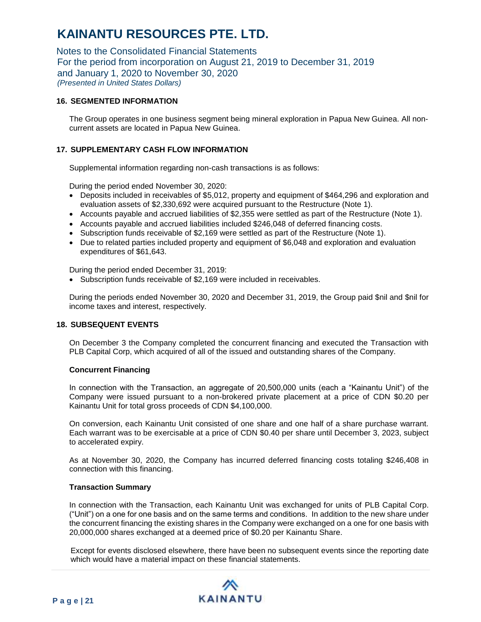Notes to the Consolidated Financial Statements For the period from incorporation on August 21, 2019 to December 31, 2019 and January 1, 2020 to November 30, 2020 *(Presented in United States Dollars)*

### **16. SEGMENTED INFORMATION**

The Group operates in one business segment being mineral exploration in Papua New Guinea. All noncurrent assets are located in Papua New Guinea.

# **17. SUPPLEMENTARY CASH FLOW INFORMATION**

Supplemental information regarding non-cash transactions is as follows:

During the period ended November 30, 2020:

- Deposits included in receivables of \$5,012, property and equipment of \$464,296 and exploration and evaluation assets of \$2,330,692 were acquired pursuant to the Restructure (Note 1).
- Accounts payable and accrued liabilities of \$2,355 were settled as part of the Restructure (Note 1).
- Accounts payable and accrued liabilities included \$246,048 of deferred financing costs.
- Subscription funds receivable of \$2,169 were settled as part of the Restructure (Note 1).
- Due to related parties included property and equipment of \$6,048 and exploration and evaluation expenditures of \$61,643.

During the period ended December 31, 2019:

• Subscription funds receivable of \$2,169 were included in receivables.

During the periods ended November 30, 2020 and December 31, 2019, the Group paid \$nil and \$nil for income taxes and interest, respectively.

### **18. SUBSEQUENT EVENTS**

On December 3 the Company completed the concurrent financing and executed the Transaction with PLB Capital Corp, which acquired of all of the issued and outstanding shares of the Company.

### **Concurrent Financing**

In connection with the Transaction, an aggregate of 20,500,000 units (each a "Kainantu Unit") of the Company were issued pursuant to a non-brokered private placement at a price of CDN \$0.20 per Kainantu Unit for total gross proceeds of CDN \$4,100,000.

On conversion, each Kainantu Unit consisted of one share and one half of a share purchase warrant. Each warrant was to be exercisable at a price of CDN \$0.40 per share until December 3, 2023, subject to accelerated expiry.

As at November 30, 2020, the Company has incurred deferred financing costs totaling \$246,408 in connection with this financing.

#### **Transaction Summary**

In connection with the Transaction, each Kainantu Unit was exchanged for units of PLB Capital Corp. ("Unit") on a one for one basis and on the same terms and conditions. In addition to the new share under the concurrent financing the existing shares in the Company were exchanged on a one for one basis with 20,000,000 shares exchanged at a deemed price of \$0.20 per Kainantu Share.

Except for events disclosed elsewhere, there have been no subsequent events since the reporting date which would have a material impact on these financial statements.